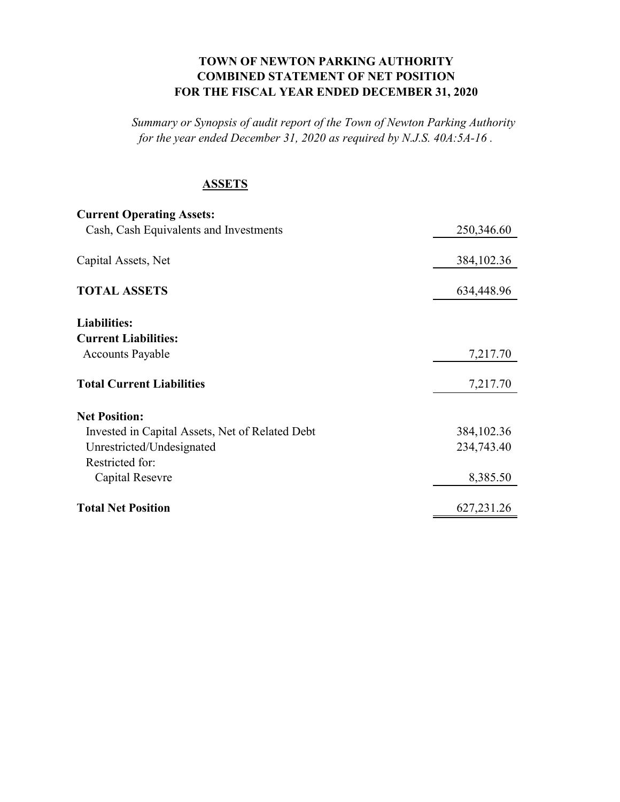## **TOWN OF NEWTON PARKING AUTHORITY COMBINED STATEMENT OF NET POSITION FOR THE FISCAL YEAR ENDED DECEMBER 31, 2020**

*Summary or Synopsis of audit report of the Town of Newton Parking Authority for the year ended December 31, 2020 as required by N.J.S. 40A:5A-16 .* 

## **ASSETS**

| <b>Current Operating Assets:</b>                |              |
|-------------------------------------------------|--------------|
| Cash, Cash Equivalents and Investments          | 250,346.60   |
|                                                 |              |
| Capital Assets, Net                             | 384, 102. 36 |
|                                                 |              |
| <b>TOTAL ASSETS</b>                             | 634,448.96   |
|                                                 |              |
| <b>Liabilities:</b>                             |              |
| <b>Current Liabilities:</b>                     |              |
| <b>Accounts Payable</b>                         | 7,217.70     |
| <b>Total Current Liabilities</b>                |              |
|                                                 | 7,217.70     |
| <b>Net Position:</b>                            |              |
| Invested in Capital Assets, Net of Related Debt | 384, 102. 36 |
| Unrestricted/Undesignated                       | 234,743.40   |
| Restricted for:                                 |              |
| Capital Resevre                                 | 8,385.50     |
|                                                 |              |
| <b>Total Net Position</b>                       | 627, 231. 26 |
|                                                 |              |